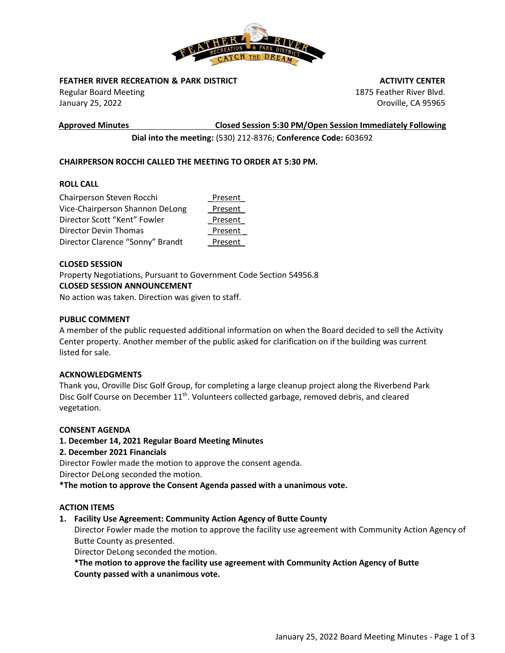

## **FEATHER RIVER RECREATION & PARK DISTRICT**

Regular Board Meeting January 25, 2022

**Approved Minutes Closed Session 5:30 PM/Open Session Immediately Following**

 **ACTIVITY CENTER** 1875 Feather River Blvd. Oroville, CA 95965

**Dial into the meeting:** (530) 212-8376; **Conference Code:** 603692

# **CHAIRPERSON ROCCHI CALLED THE MEETING TO ORDER AT 5:30 PM.**

## **ROLL CALL**

| Chairperson Steven Rocchi        | Present |
|----------------------------------|---------|
| Vice-Chairperson Shannon DeLong  | Present |
| Director Scott "Kent" Fowler     | Present |
| Director Devin Thomas            | Present |
| Director Clarence "Sonny" Brandt | Present |

### **CLOSED SESSION**

Property Negotiations, Pursuant to Government Code Section 54956.8 **CLOSED SESSION ANNOUNCEMENT**

No action was taken. Direction was given to staff.

### **PUBLIC COMMENT**

A member of the public requested additional information on when the Board decided to sell the Activity Center property. Another member of the public asked for clarification on if the building was current listed for sale.

#### **ACKNOWLEDGMENTS**

Thank you, Oroville Disc Golf Group, for completing a large cleanup project along the Riverbend Park Disc Golf Course on December  $11<sup>th</sup>$ . Volunteers collected garbage, removed debris, and cleared vegetation.

#### **CONSENT AGENDA**

## **1. December 14, 2021 Regular Board Meeting Minutes**

**2. December 2021 Financials** 

Director Fowler made the motion to approve the consent agenda.

Director DeLong seconded the motion.

**\*The motion to approve the Consent Agenda passed with a unanimous vote.**

### **ACTION ITEMS**

## **1. Facility Use Agreement: Community Action Agency of Butte County**

Director Fowler made the motion to approve the facility use agreement with Community Action Agency of Butte County as presented.

Director DeLong seconded the motion.

**\*The motion to approve the facility use agreement with Community Action Agency of Butte County passed with a unanimous vote.**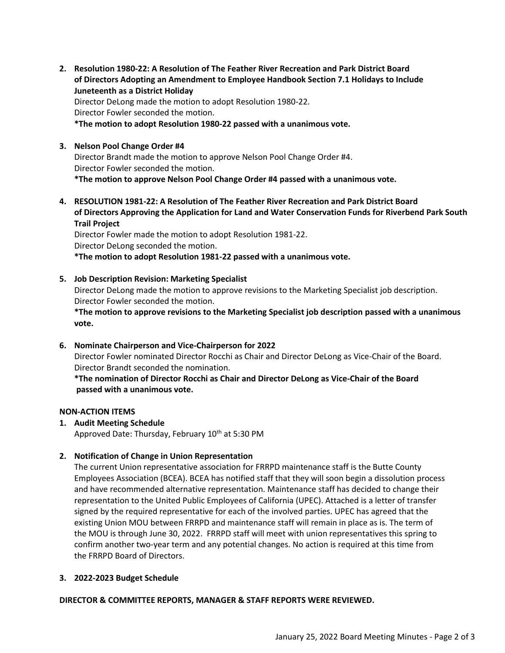**2. Resolution 1980-22: A Resolution of The Feather River Recreation and Park District Board of Directors Adopting an Amendment to Employee Handbook Section 7.1 Holidays to Include Juneteenth as a District Holiday** 

Director DeLong made the motion to adopt Resolution 1980-22. Director Fowler seconded the motion.

**\*The motion to adopt Resolution 1980-22 passed with a unanimous vote.**

### **3. Nelson Pool Change Order #4**

Director Brandt made the motion to approve Nelson Pool Change Order #4. Director Fowler seconded the motion. **\*The motion to approve Nelson Pool Change Order #4 passed with a unanimous vote.**

**4. RESOLUTION 1981-22: A Resolution of The Feather River Recreation and Park District Board of Directors Approving the Application for Land and Water Conservation Funds for Riverbend Park South Trail Project**

Director Fowler made the motion to adopt Resolution 1981-22. Director DeLong seconded the motion.

**\*The motion to adopt Resolution 1981-22 passed with a unanimous vote.**

**5. Job Description Revision: Marketing Specialist**

Director DeLong made the motion to approve revisions to the Marketing Specialist job description. Director Fowler seconded the motion.

**\*The motion to approve revisions to the Marketing Specialist job description passed with a unanimous vote.**

## **6. Nominate Chairperson and Vice-Chairperson for 2022**

Director Fowler nominated Director Rocchi as Chair and Director DeLong as Vice-Chair of the Board. Director Brandt seconded the nomination.

**\*The nomination of Director Rocchi as Chair and Director DeLong as Vice-Chair of the Board passed with a unanimous vote.**

## **NON-ACTION ITEMS**

**1. Audit Meeting Schedule** 

Approved Date: Thursday, February 10<sup>th</sup> at 5:30 PM

## **2. Notification of Change in Union Representation**

The current Union representative association for FRRPD maintenance staff is the Butte County Employees Association (BCEA). BCEA has notified staff that they will soon begin a dissolution process and have recommended alternative representation. Maintenance staff has decided to change their representation to the United Public Employees of California (UPEC). Attached is a letter of transfer signed by the required representative for each of the involved parties. UPEC has agreed that the existing Union MOU between FRRPD and maintenance staff will remain in place as is. The term of the MOU is through June 30, 2022. FRRPD staff will meet with union representatives this spring to confirm another two-year term and any potential changes. No action is required at this time from the FRRPD Board of Directors.

#### **3. 2022-2023 Budget Schedule**

**DIRECTOR & COMMITTEE REPORTS, MANAGER & STAFF REPORTS WERE REVIEWED.**